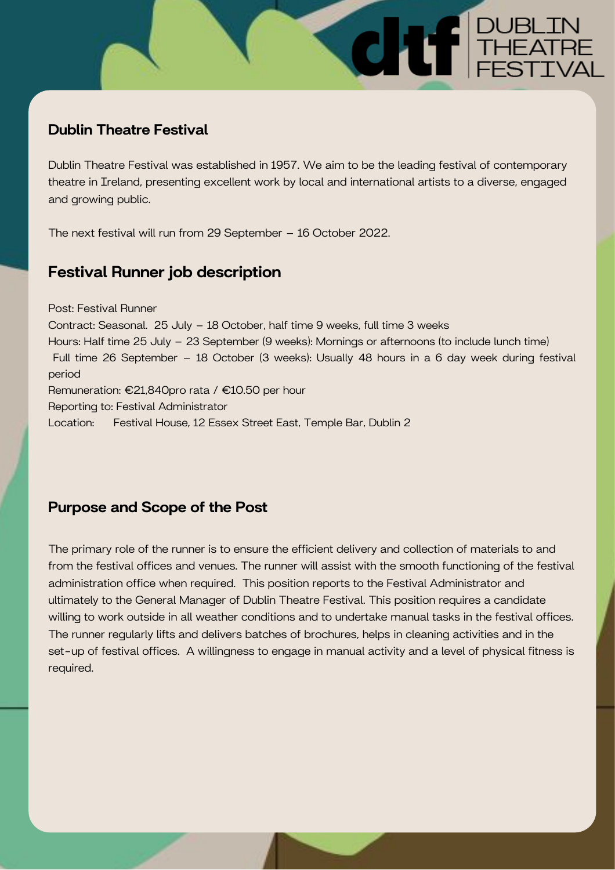## Dublin Theatre Festival

Dublin Theatre Festival was established in 1957. We aim to be the leading festival of contemporary theatre in Ireland, presenting excellent work by local and international artists to a diverse, engaged and growing public.

**CHIFFE THEATRE** 

The next festival will run from 29 September – 16 October 2022.

# Festival Runner job description

Post: Festival Runner Contract: Seasonal. 25 July – 18 October, half time 9 weeks, full time 3 weeks Hours: Half time 25 July – 23 September (9 weeks): Mornings or afternoons (to include lunch time) Full time 26 September – 18 October (3 weeks): Usually 48 hours in a 6 day week during festival period Remuneration: €21,840pro rata / €10.50 per hour Reporting to: Festival Administrator Location: Festival House, 12 Essex Street East, Temple Bar, Dublin 2

## Purpose and Scope of the Post

The primary role of the runner is to ensure the efficient delivery and collection of materials to and from the festival offices and venues. The runner will assist with the smooth functioning of the festival administration office when required. This position reports to the Festival Administrator and ultimately to the General Manager of Dublin Theatre Festival. This position requires a candidate willing to work outside in all weather conditions and to undertake manual tasks in the festival offices. The runner regularly lifts and delivers batches of brochures, helps in cleaning activities and in the set-up of festival offices. A willingness to engage in manual activity and a level of physical fitness is required.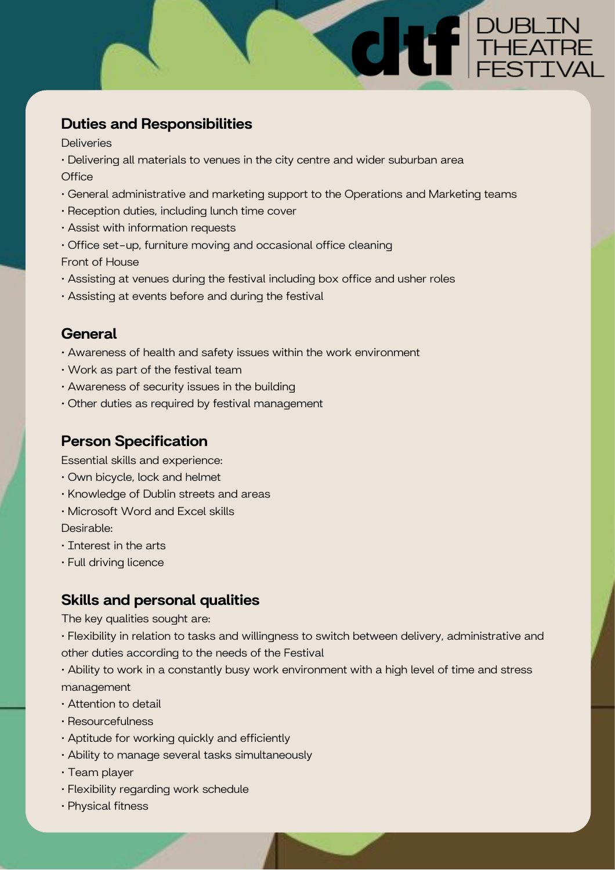## Duties and Responsibilities

**Deliveries** 

- Delivering all materials to venues in the city centre and wider suburban area **Office**
- General administrative and marketing support to the Operations and Marketing teams

**CHILE PUBLIN** 

- Reception duties, including lunch time cover
- Assist with information requests
- Office set-up, furniture moving and occasional office cleaning

Front of House

- Assisting at venues during the festival including box office and usher roles
- Assisting at events before and during the festival

#### **General**

- Awareness of health and safety issues within the work environment
- Work as part of the festival team
- Awareness of security issues in the building
- Other duties as required by festival management

### Person Specification

Essential skills and experience:

- Own bicycle, lock and helmet
- Knowledge of Dublin streets and areas
- Microsoft Word and Excel skills

Desirable:

- Interest in the arts
- Full driving licence

#### Skills and personal qualities

The key qualities sought are:

• Flexibility in relation to tasks and willingness to switch between delivery, administrative and other duties according to the needs of the Festival

- Ability to work in a constantly busy work environment with a high level of time and stress management
- Attention to detail
- Resourcefulness
- Aptitude for working quickly and efficiently
- Ability to manage several tasks simultaneously
- Team player
- Flexibility regarding work schedule
- Physical fitness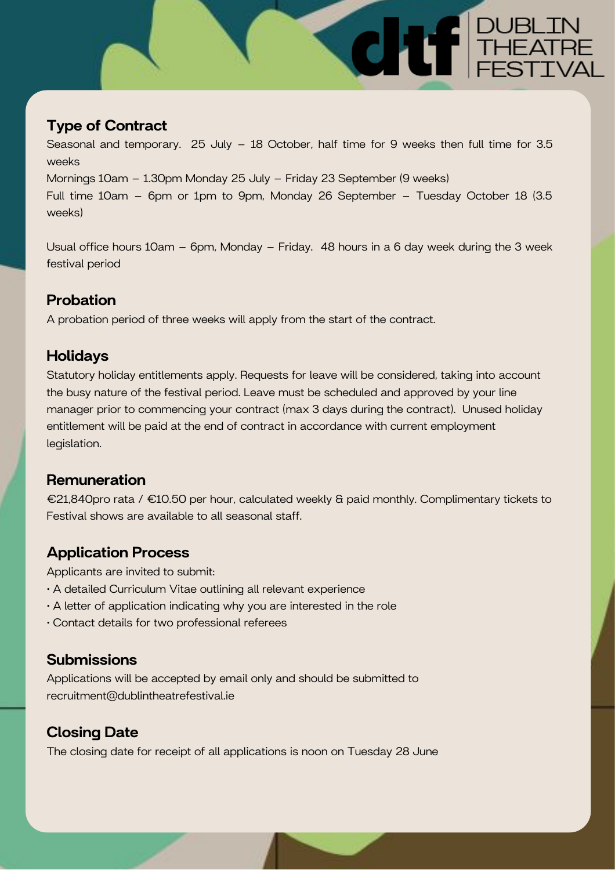# Type of Contract

Seasonal and temporary. 25 July – 18 October, half time for 9 weeks then full time for 3.5 weeks Mornings 10am – 1.30pm Monday 25 July – Friday 23 September (9 weeks) Full time 10am – 6pm or 1pm to 9pm, Monday 26 September – Tuesday October 18 (3.5 weeks)

**CHE THEATRE** 

Usual office hours 10am – 6pm, Monday – Friday. 48 hours in a 6 day week during the 3 week festival period

## Probation

A probation period of three weeks will apply from the start of the contract.

### Holidays

Statutory holiday entitlements apply. Requests for leave will be considered, taking into account the busy nature of the festival period. Leave must be scheduled and approved by your line manager prior to commencing your contract (max 3 days during the contract). Unused holiday entitlement will be paid at the end of contract in accordance with current employment legislation.

#### **Remuneration**

€21,840pro rata / €10.50 per hour, calculated weekly & paid monthly. Complimentary tickets to Festival shows are available to all seasonal staff.

## Application Process

Applicants are invited to submit:

- A detailed Curriculum Vitae outlining all relevant experience
- A letter of application indicating why you are interested in the role
- Contact details for two professional referees

#### **Submissions**

Applications will be accepted by email only and should be submitted to recruitment@dublintheatrefestival.ie

### Closing Date

The closing date for receipt of all applications is noon on Tuesday 28 June